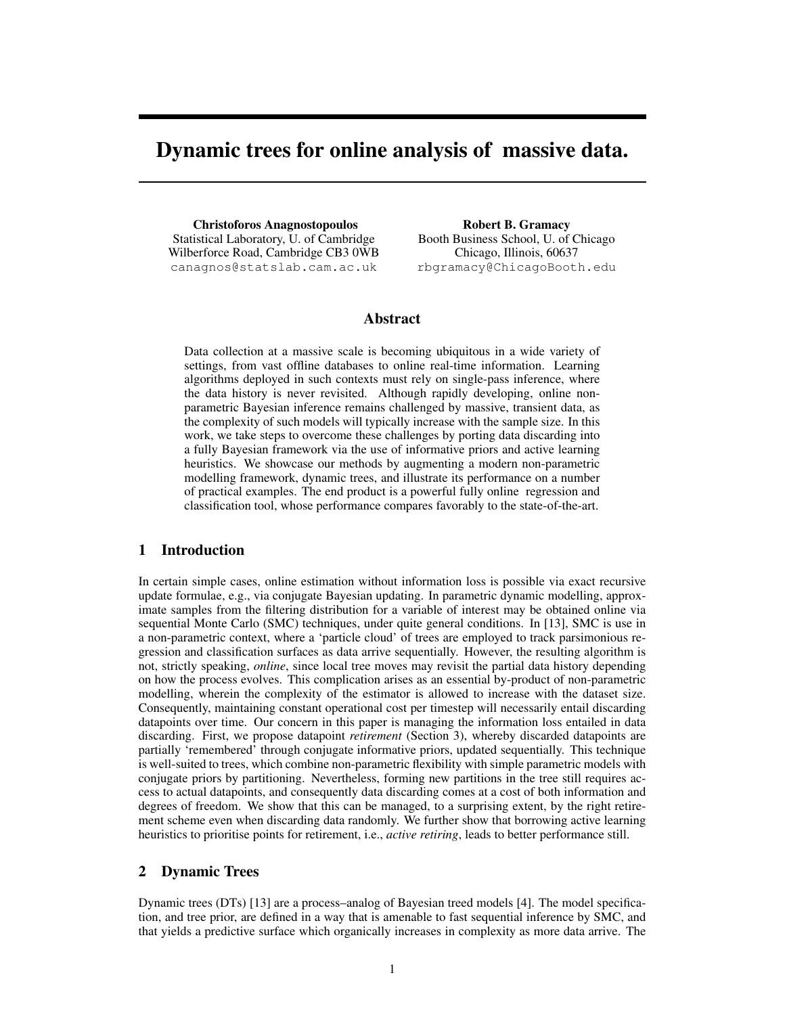# Dynamic trees for online analysis of massive data.

Christoforos Anagnostopoulos Statistical Laboratory, U. of Cambridge Wilberforce Road, Cambridge CB3 0WB canagnos@statslab.cam.ac.uk

Robert B. Gramacy Booth Business School, U. of Chicago Chicago, Illinois, 60637 rbgramacy@ChicagoBooth.edu

### Abstract

Data collection at a massive scale is becoming ubiquitous in a wide variety of settings, from vast offline databases to online real-time information. Learning algorithms deployed in such contexts must rely on single-pass inference, where the data history is never revisited. Although rapidly developing, online nonparametric Bayesian inference remains challenged by massive, transient data, as the complexity of such models will typically increase with the sample size. In this work, we take steps to overcome these challenges by porting data discarding into a fully Bayesian framework via the use of informative priors and active learning heuristics. We showcase our methods by augmenting a modern non-parametric modelling framework, dynamic trees, and illustrate its performance on a number of practical examples. The end product is a powerful fully online regression and classification tool, whose performance compares favorably to the state-of-the-art.

# 1 Introduction

In certain simple cases, online estimation without information loss is possible via exact recursive update formulae, e.g., via conjugate Bayesian updating. In parametric dynamic modelling, approximate samples from the filtering distribution for a variable of interest may be obtained online via sequential Monte Carlo (SMC) techniques, under quite general conditions. In [13], SMC is use in a non-parametric context, where a 'particle cloud' of trees are employed to track parsimonious regression and classification surfaces as data arrive sequentially. However, the resulting algorithm is not, strictly speaking, *online*, since local tree moves may revisit the partial data history depending on how the process evolves. This complication arises as an essential by-product of non-parametric modelling, wherein the complexity of the estimator is allowed to increase with the dataset size. Consequently, maintaining constant operational cost per timestep will necessarily entail discarding datapoints over time. Our concern in this paper is managing the information loss entailed in data discarding. First, we propose datapoint *retirement* (Section 3), whereby discarded datapoints are partially 'remembered' through conjugate informative priors, updated sequentially. This technique is well-suited to trees, which combine non-parametric flexibility with simple parametric models with conjugate priors by partitioning. Nevertheless, forming new partitions in the tree still requires access to actual datapoints, and consequently data discarding comes at a cost of both information and degrees of freedom. We show that this can be managed, to a surprising extent, by the right retirement scheme even when discarding data randomly. We further show that borrowing active learning heuristics to prioritise points for retirement, i.e., *active retiring*, leads to better performance still.

## 2 Dynamic Trees

Dynamic trees (DTs) [13] are a process–analog of Bayesian treed models [4]. The model specification, and tree prior, are defined in a way that is amenable to fast sequential inference by SMC, and that yields a predictive surface which organically increases in complexity as more data arrive. The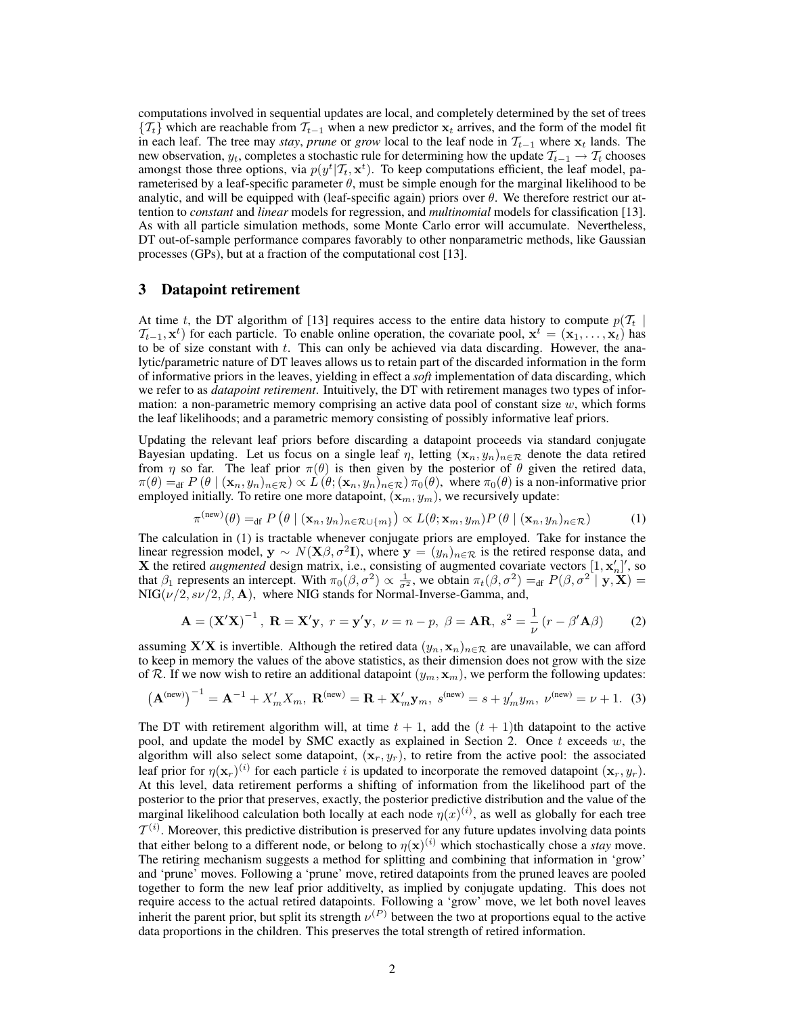computations involved in sequential updates are local, and completely determined by the set of trees  $\{T_t\}$  which are reachable from  $T_{t-1}$  when a new predictor  $x_t$  arrives, and the form of the model fit in each leaf. The tree may *stay*, *prune* or *grow* local to the leaf node in  $\mathcal{T}_{t-1}$  where  $x_t$  lands. The new observation,  $y_t$ , completes a stochastic rule for determining how the update  $\mathcal{T}_{t-1} \to \mathcal{T}_t$  chooses amongst those three options, via  $p(y^t | T_t, x^t)$ . To keep computations efficient, the leaf model, parameterised by a leaf-specific parameter  $\theta$ , must be simple enough for the marginal likelihood to be analytic, and will be equipped with (leaf-specific again) priors over  $\theta$ . We therefore restrict our attention to *constant* and *linear* models for regression, and *multinomial* models for classification [13]. As with all particle simulation methods, some Monte Carlo error will accumulate. Nevertheless, DT out-of-sample performance compares favorably to other nonparametric methods, like Gaussian processes (GPs), but at a fraction of the computational cost [13].

#### 3 Datapoint retirement

At time t, the DT algorithm of [13] requires access to the entire data history to compute  $p(T_t |$  $\mathcal{T}_{t-1}, \mathbf{x}^t$ ) for each particle. To enable online operation, the covariate pool,  $\mathbf{x}^t = (\mathbf{x}_1, \dots, \mathbf{x}_t)$  has to be of size constant with  $t$ . This can only be achieved via data discarding. However, the analytic/parametric nature of DT leaves allows us to retain part of the discarded information in the form of informative priors in the leaves, yielding in effect a *soft* implementation of data discarding, which we refer to as *datapoint retirement*. Intuitively, the DT with retirement manages two types of information: a non-parametric memory comprising an active data pool of constant size w, which forms the leaf likelihoods; and a parametric memory consisting of possibly informative leaf priors.

Updating the relevant leaf priors before discarding a datapoint proceeds via standard conjugate Bayesian updating. Let us focus on a single leaf  $\eta$ , letting  $(\mathbf{x}_n, y_n)_{n \in \mathcal{R}}$  denote the data retired from  $\eta$  so far. The leaf prior  $\pi(\theta)$  is then given by the posterior of  $\theta$  given the retired data,  $\pi(\theta) =_{df} P(\theta \mid (\mathbf{x}_n, y_n)_{n \in \mathcal{R}}) \propto L(\theta; (\mathbf{x}_n, y_n)_{n \in \mathcal{R}}) \pi_0(\theta)$ , where  $\pi_0(\theta)$  is a non-informative prior employed initially. To retire one more datapoint,  $(\mathbf{x}_m, y_m)$ , we recursively update:

$$
\pi^{(\text{new})}(\theta) =_{\text{df}} P\left(\theta \mid (\mathbf{x}_n, y_n)_{n \in \mathcal{R} \cup \{m\}}\right) \propto L(\theta; \mathbf{x}_m, y_m) P\left(\theta \mid (\mathbf{x}_n, y_n)_{n \in \mathcal{R}}\right) \tag{1}
$$

The calculation in (1) is tractable whenever conjugate priors are employed. Take for instance the linear regression model,  $y \sim N(X\beta, \sigma^2 I)$ , where  $y = (y_n)_{n \in \mathcal{R}}$  is the retired response data, and X the retired *augmented* design matrix, i.e., consisting of augmented covariate vectors  $[1, x'_n]'$ , so that  $\beta_1$  represents an intercept. With  $\pi_0(\beta, \sigma^2) \propto \frac{1}{\sigma^2}$ , we obtain  $\pi_t(\beta, \sigma^2) =_{df} P(\beta, \sigma^2 | \mathbf{y}, \mathbf{X}) =$  $NIG(\nu/2, s\nu/2, \beta, A)$ , where NIG stands for Normal-Inverse-Gamma, and,

$$
\mathbf{A} = \left(\mathbf{X}'\mathbf{X}\right)^{-1}, \ \mathbf{R} = \mathbf{X}'\mathbf{y}, \ r = \mathbf{y}'\mathbf{y}, \ \nu = n - p, \ \beta = \mathbf{A}\mathbf{R}, \ s^2 = \frac{1}{\nu}\left(r - \beta'\mathbf{A}\beta\right) \tag{2}
$$

assuming X<sup>'</sup>X is invertible. Although the retired data  $(y_n, \mathbf{x}_n)_{n \in \mathcal{R}}$  are unavailable, we can afford to keep in memory the values of the above statistics, as their dimension does not grow with the size of R. If we now wish to retire an additional datapoint  $(y_m, \mathbf{x}_m)$ , we perform the following updates:

$$
\left(\mathbf{A}^{(\text{new})}\right)^{-1} = \mathbf{A}^{-1} + X'_m X_m, \ \mathbf{R}^{(\text{new})} = \mathbf{R} + \mathbf{X}'_m \mathbf{y}_m, \ s^{(\text{new})} = s + y'_m y_m, \ \nu^{(\text{new})} = \nu + 1. \tag{3}
$$

The DT with retirement algorithm will, at time  $t + 1$ , add the  $(t + 1)$ th datapoint to the active pool, and update the model by SMC exactly as explained in Section 2. Once  $t$  exceeds  $w$ , the algorithm will also select some datapoint,  $(\mathbf{x}_r, y_r)$ , to retire from the active pool: the associated leaf prior for  $\eta(\mathbf{x}_r)^{(i)}$  for each particle i is updated to incorporate the removed datapoint  $(\mathbf{x}_r, y_r)$ . At this level, data retirement performs a shifting of information from the likelihood part of the posterior to the prior that preserves, exactly, the posterior predictive distribution and the value of the marginal likelihood calculation both locally at each node  $\eta(x)^{(i)}$ , as well as globally for each tree  $\mathcal{T}^{(i)}$ . Moreover, this predictive distribution is preserved for any future updates involving data points that either belong to a different node, or belong to  $\eta(\mathbf{x})^{(i)}$  which stochastically chose a *stay* move. The retiring mechanism suggests a method for splitting and combining that information in 'grow' and 'prune' moves. Following a 'prune' move, retired datapoints from the pruned leaves are pooled together to form the new leaf prior additivelty, as implied by conjugate updating. This does not require access to the actual retired datapoints. Following a 'grow' move, we let both novel leaves inherit the parent prior, but split its strength  $\nu^{(P)}$  between the two at proportions equal to the active data proportions in the children. This preserves the total strength of retired information.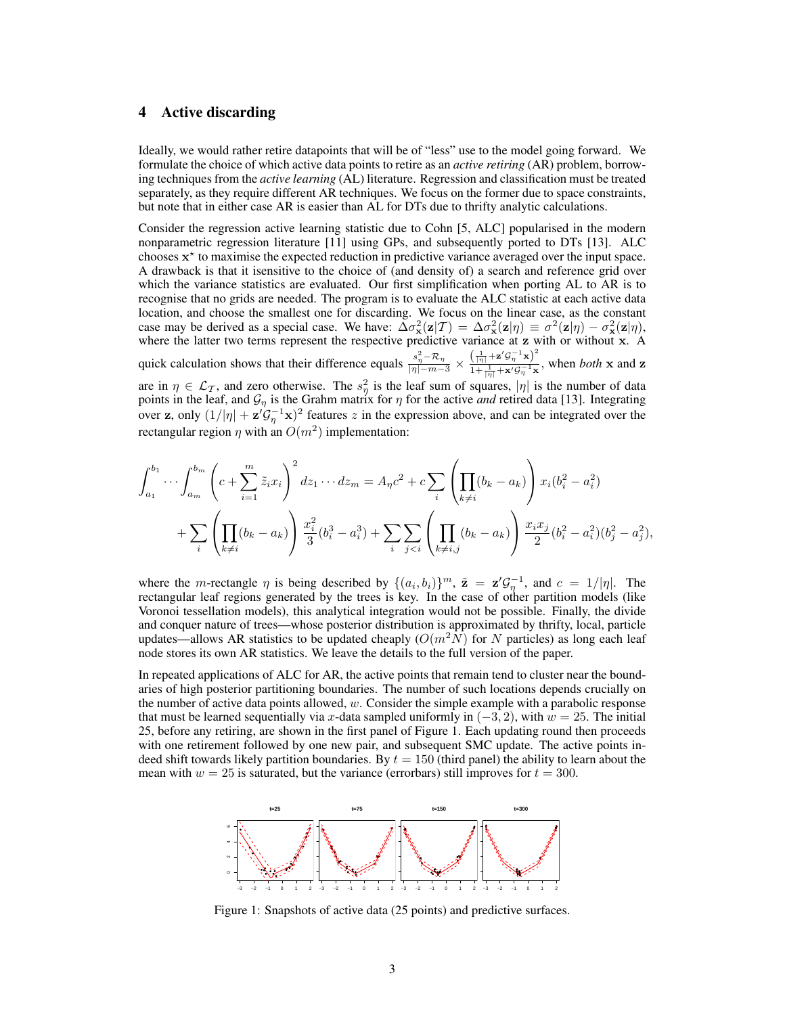# 4 Active discarding

Ideally, we would rather retire datapoints that will be of "less" use to the model going forward. We formulate the choice of which active data points to retire as an *active retiring* (AR) problem, borrowing techniques from the *active learning* (AL) literature. Regression and classification must be treated separately, as they require different AR techniques. We focus on the former due to space constraints, but note that in either case AR is easier than AL for DTs due to thrifty analytic calculations.

Consider the regression active learning statistic due to Cohn [5, ALC] popularised in the modern nonparametric regression literature [11] using GPs, and subsequently ported to DTs [13]. ALC chooses x ? to maximise the expected reduction in predictive variance averaged over the input space. A drawback is that it isensitive to the choice of (and density of) a search and reference grid over which the variance statistics are evaluated. Our first simplification when porting AL to AR is to recognise that no grids are needed. The program is to evaluate the ALC statistic at each active data location, and choose the smallest one for discarding. We focus on the linear case, as the constant case may be derived as a special case. We have:  $\overline{\Delta}\sigma_x^2(\mathbf{z}|\mathcal{T}) = \Delta\sigma_x^2(\mathbf{z}|\eta) \equiv \sigma^2(\mathbf{z}|\eta) - \sigma_x^2(\mathbf{z}|\eta)$ , where the latter two terms represent the respective predictive variance at z with or without x. A quick calculation shows that their difference equals  $\frac{s_n^2 - \mathcal{R}_\eta}{|\eta| - m - 3} \times \frac{\left(\frac{1}{|\eta|} + \mathbf{z}' \mathcal{G}_n^{-1} \mathbf{x}\right)^2}{1 + \frac{1}{2} + \mathbf{x}' \mathcal{G}_n^{-1} \mathbf{x}}$  $\frac{(\vert \eta \vert^{1/2} \mathcal{B} \eta^{1/2})}{1 + \frac{1}{\vert \eta \vert} + \mathbf{x}' \mathcal{G}^{-1}_{\eta} \mathbf{x}},$  when *both* x and z are in  $\eta \in \mathcal{L}_{\mathcal{T}}$ , and zero otherwise. The  $s_{\eta}^2$  is the leaf sum of squares,  $|\eta|$  is the number of data 2 points in the leaf, and  $\mathcal{G}_{\eta}$  is the Grahm matrix for  $\eta$  for the active *and* retired data [13]. Integrating over z, only  $(1/|\eta| + \mathbf{z}'\mathcal{G}_{\eta}^{-1}\mathbf{x})^2$  features z in the expression above, and can be integrated over the rectangular region  $\eta$  with an  $O(m^2)$  implementation:

$$
\int_{a_1}^{b_1} \cdots \int_{a_m}^{b_m} \left( c + \sum_{i=1}^m \tilde{z}_i x_i \right)^2 dz_1 \cdots dz_m = A_{\eta} c^2 + c \sum_i \left( \prod_{k \neq i} (b_k - a_k) \right) x_i (b_i^2 - a_i^2)
$$
  
+ 
$$
\sum_i \left( \prod_{k \neq i} (b_k - a_k) \right) \frac{x_i^2}{3} (b_i^3 - a_i^3) + \sum_i \sum_{j < i} \left( \prod_{k \neq i, j} (b_k - a_k) \right) \frac{x_i x_j}{2} (b_i^2 - a_i^2) (b_j^2 - a_j^2),
$$

where the *m*-rectangle  $\eta$  is being described by  $\{(a_i, b_i)\}^m$ ,  $\tilde{\mathbf{z}} = \mathbf{z}' \mathcal{G}_{\eta}^{-1}$ , and  $c = 1/|\eta|$ . The rectangular leaf regions generated by the trees is key. In the case of other partition models (like Voronoi tessellation models), this analytical integration would not be possible. Finally, the divide and conquer nature of trees—whose posterior distribution is approximated by thrifty, local, particle updates—allows AR statistics to be updated cheaply ( $O(m^2N)$  for N particles) as long each leaf node stores its own AR statistics. We leave the details to the full version of the paper.

In repeated applications of ALC for AR, the active points that remain tend to cluster near the boundaries of high posterior partitioning boundaries. The number of such locations depends crucially on the number of active data points allowed,  $w$ . Consider the simple example with a parabolic response that must be learned sequentially via x-data sampled uniformly in  $(-3, 2)$ , with  $w = 25$ . The initial 25, before any retiring, are shown in the first panel of Figure 1. Each updating round then proceeds with one retirement followed by one new pair, and subsequent SMC update. The active points indeed shift towards likely partition boundaries. By  $t = 150$  (third panel) the ability to learn about the mean with  $w = 25$  is saturated, but the variance (errorbars) still improves for  $t = 300$ .



Figure 1: Snapshots of active data (25 points) and predictive surfaces.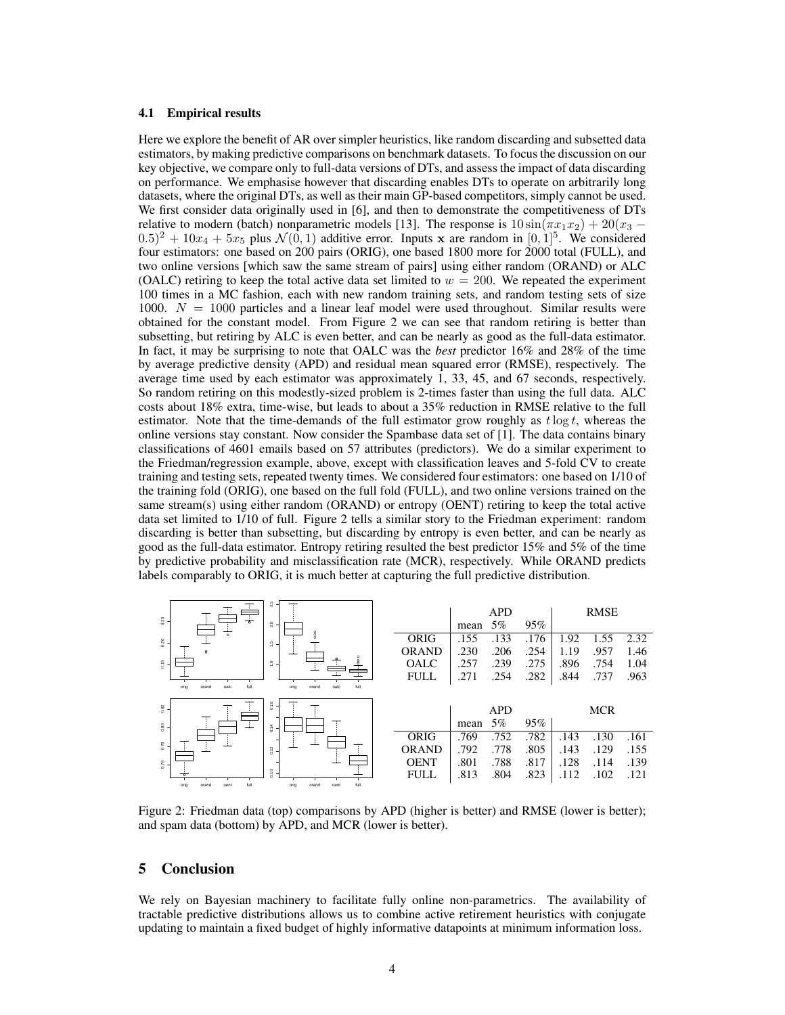#### 4.1 Empirical results

Here we explore the benefit of AR over simpler heuristics, like random discarding and subsetted data estimators, by making predictive comparisons on benchmark datasets. To focus the discussion on our key objective, we compare only to full-data versions of DTs, and assess the impact of data discarding on performance. We emphasise however that discarding enables DTs to operate on arbitrarily long datasets, where the original DTs, as well as their main GP-based competitors, simply cannot be used. We first consider data originally used in [6], and then to demonstrate the competitiveness of DTs relative to modern (batch) nonparametric models [13]. The response is  $10 \sin(\pi x_1 x_2) + 20(x_3 (0.5)^2 + 10x_4 + 5x_5$  plus  $\mathcal{N}(0, 1)$  additive error. Inputs x are random in  $[0, 1]^5$ . We considered four estimators: one based on 200 pairs (ORIG), one based 1800 more for 2000 total (FULL), and two online versions [which saw the same stream of pairs] using either random (ORAND) or ALC (OALC) retiring to keep the total active data set limited to  $w = 200$ . We repeated the experiment 100 times in a MC fashion, each with new random training sets, and random testing sets of size 1000.  $N = 1000$  particles and a linear leaf model were used throughout. Similar results were obtained for the constant model. From Figure 2 we can see that random retiring is better than subsetting, but retiring by ALC is even better, and can be nearly as good as the full-data estimator. In fact, it may be surprising to note that OALC was the *best* predictor 16% and 28% of the time by average predictive density (APD) and residual mean squared error (RMSE), respectively. The average time used by each estimator was approximately 1, 33, 45, and 67 seconds, respectively. So random retiring on this modestly-sized problem is 2-times faster than using the full data. ALC costs about 18% extra, time-wise, but leads to about a 35% reduction in RMSE relative to the full estimator. Note that the time-demands of the full estimator grow roughly as  $t \log t$ , whereas the online versions stay constant. Now consider the Spambase data set of [1]. The data contains binary classifications of 4601 emails based on 57 attributes (predictors). We do a similar experiment to the Friedman/regression example, above, except with classification leaves and 5-fold CV to create training and testing sets, repeated twenty times. We considered four estimators: one based on 1/10 of the training fold (ORIG), one based on the full fold (FULL), and two online versions trained on the same stream(s) using either random (ORAND) or entropy (OENT) retiring to keep the total active data set limited to 1/10 of full. Figure 2 tells a similar story to the Friedman experiment: random discarding is better than subsetting, but discarding by entropy is even better, and can be nearly as good as the full-data estimator. Entropy retiring resulted the best predictor 15% and 5% of the time by predictive probability and misclassification rate (MCR), respectively. While ORAND predicts labels comparably to ORIG, it is much better at capturing the full predictive distribution.

| 23<br>$\Omega$ .<br>$\div$<br>2.0                              |              | mean | <b>APD</b><br>$5\%$ | 95%  |      | <b>RMSE</b> |      |
|----------------------------------------------------------------|--------------|------|---------------------|------|------|-------------|------|
| 0.20<br>$\frac{3}{2}$                                          | <b>ORIG</b>  | .155 | .133                | .176 | 1.92 | 1.55        | 2.32 |
|                                                                | <b>ORAND</b> | .230 | .206                | .254 | 1.19 | .957        | 1.46 |
| $\frac{6}{5}$ .<br>$\tilde{ }$                                 | <b>OALC</b>  | .257 | .239                | .275 | .896 | .754        | 1.04 |
|                                                                | <b>FULL</b>  | .271 | .254                | .282 | .844 | .737        | .963 |
| full<br>orig<br>oalc<br>full<br>oalc<br>orand<br>oria<br>orand |              |      |                     |      |      |             |      |
|                                                                |              |      |                     |      |      |             |      |
| 0.16<br><b>ZRO</b>                                             |              |      | <b>APD</b>          |      |      | <b>MCR</b>  |      |
| <b>0.80</b><br>3.14                                            |              | mean | $5\%$               | 95%  |      |             |      |
|                                                                | <b>ORIG</b>  | .769 | .752                | .782 | .143 | .130        | .161 |
| $\sum_{i=1}^{n}$<br>3.12                                       | <b>ORAND</b> | .792 | .778                | .805 | .143 | .129        | .155 |
| $\frac{1}{2}$ .                                                | <b>OENT</b>  | .801 | .788                | .817 | .128 | .114        | .139 |
| 01.0<br>full<br>full<br>orig<br>orand                          | <b>FULL</b>  | .813 | .804                | .823 | .112 | .102        | .121 |

Figure 2: Friedman data (top) comparisons by APD (higher is better) and RMSE (lower is better); and spam data (bottom) by APD, and MCR (lower is better).

# 5 Conclusion

We rely on Bayesian machinery to facilitate fully online non-parametrics. The availability of tractable predictive distributions allows us to combine active retirement heuristics with conjugate updating to maintain a fixed budget of highly informative datapoints at minimum information loss.